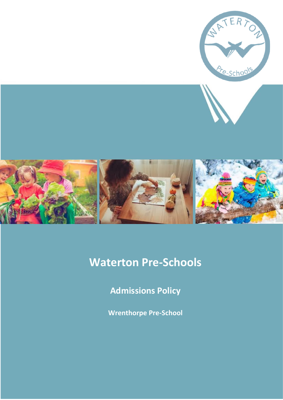

# **Waterton Pre-Schools**

**Admissions Policy**

**Wrenthorpe Pre-School**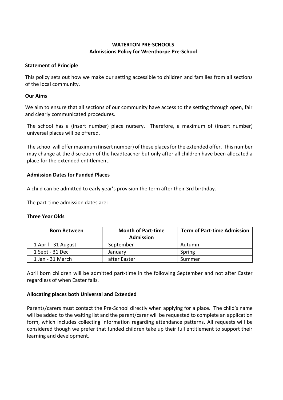## **WATERTON PRE-SCHOOLS Admissions Policy for Wrenthorpe Pre-School**

### **Statement of Principle**

This policy sets out how we make our setting accessible to children and families from all sections of the local community.

#### **Our Aims**

We aim to ensure that all sections of our community have access to the setting through open, fair and clearly communicated procedures.

The school has a (insert number) place nursery. Therefore, a maximum of (insert number) universal places will be offered.

The school will offer maximum (insert number) of these places for the extended offer. This number may change at the discretion of the headteacher but only after all children have been allocated a place for the extended entitlement.

#### **Admission Dates for Funded Places**

A child can be admitted to early year's provision the term after their 3rd birthday.

The part-time admission dates are:

#### **Three Year Olds**

| <b>Born Between</b> | <b>Month of Part-time</b><br><b>Admission</b> | <b>Term of Part-time Admission</b> |
|---------------------|-----------------------------------------------|------------------------------------|
| 1 April - 31 August | September                                     | Autumn                             |
| 1 Sept - 31 Dec     | January                                       | Spring                             |
| 1 Jan - 31 March    | after Easter                                  | Summer                             |

April born children will be admitted part-time in the following September and not after Easter regardless of when Easter falls.

## **Allocating places both Universal and Extended**

Parents/carers must contact the Pre-School directly when applying for a place. The child's name will be added to the waiting list and the parent/carer will be requested to complete an application form, which includes collecting information regarding attendance patterns. All requests will be considered though we prefer that funded children take up their full entitlement to support their learning and development.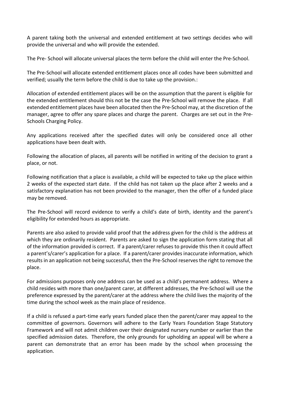A parent taking both the universal and extended entitlement at two settings decides who will provide the universal and who will provide the extended.

The Pre- School will allocate universal places the term before the child will enter the Pre-School.

The Pre-School will allocate extended entitlement places once all codes have been submitted and verified; usually the term before the child is due to take up the provision.:

Allocation of extended entitlement places will be on the assumption that the parent is eligible for the extended entitlement should this not be the case the Pre-School will remove the place. If all extended entitlement places have been allocated then the Pre-School may, at the discretion of the manager, agree to offer any spare places and charge the parent. Charges are set out in the Pre-Schools Charging Policy.

Any applications received after the specified dates will only be considered once all other applications have been dealt with.

Following the allocation of places, all parents will be notified in writing of the decision to grant a place, or not.

Following notification that a place is available, a child will be expected to take up the place within 2 weeks of the expected start date. If the child has not taken up the place after 2 weeks and a satisfactory explanation has not been provided to the manager, then the offer of a funded place may be removed.

The Pre-School will record evidence to verify a child's date of birth, identity and the parent's eligibility for extended hours as appropriate.

Parents are also asked to provide valid proof that the address given for the child is the address at which they are ordinarily resident. Parents are asked to sign the application form stating that all of the information provided is correct. If a parent/carer refuses to provide this then it could affect a parent's/carer's application for a place. If a parent/carer provides inaccurate information, which results in an application not being successful, then the Pre-School reserves the right to remove the place.

For admissions purposes only one address can be used as a child's permanent address. Where a child resides with more than one/parent carer, at different addresses, the Pre-School will use the preference expressed by the parent/carer at the address where the child lives the majority of the time during the school week as the main place of residence.

If a child is refused a part-time early years funded place then the parent/carer may appeal to the committee of governors. Governors will adhere to the Early Years Foundation Stage Statutory Framework and will not admit children over their designated nursery number or earlier than the specified admission dates. Therefore, the only grounds for upholding an appeal will be where a parent can demonstrate that an error has been made by the school when processing the application.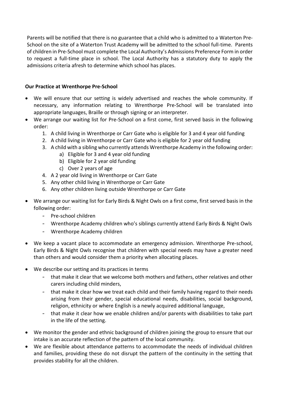Parents will be notified that there is no guarantee that a child who is admitted to a Waterton Pre-School on the site of a Waterton Trust Academy will be admitted to the school full-time. Parents of children in Pre-School must complete the Local Authority's Admissions Preference Form in order to request a full-time place in school. The Local Authority has a statutory duty to apply the admissions criteria afresh to determine which school has places.

## **Our Practice at Wrenthorpe Pre-School**

- We will ensure that our setting is widely advertised and reaches the whole community. If necessary, any information relating to Wrenthorpe Pre-School will be translated into appropriate languages, Braille or through signing or an interpreter.
- We arrange our waiting list for Pre-School on a first come, first served basis in the following order:
	- 1. A child living in Wrenthorpe or Carr Gate who is eligible for 3 and 4 year old funding
	- 2. A child living in Wrenthorpe or Carr Gate who is eligible for 2 year old funding
	- 3. A child with a sibling who currently attends Wrenthorpe Academy in the following order:
		- a) Eligible for 3 and 4 year old funding
		- b) Eligible for 2 year old funding
		- c) Over 2 years of age
	- 4. A 2 year old living in Wrenthorpe or Carr Gate
	- 5. Any other child living in Wrenthorpe or Carr Gate
	- 6. Any other children living outside Wrenthorpe or Carr Gate
- We arrange our waiting list for Early Birds & Night Owls on a first come, first served basis in the following order:
	- Pre-school children
	- Wrenthorpe Academy children who's siblings currently attend Early Birds & Night Owls
	- Wrenthorpe Academy children
- We keep a vacant place to accommodate an emergency admission. Wrenthorpe Pre-school, Early Birds & Night Owls recognise that children with special needs may have a greater need than others and would consider them a priority when allocating places.
- We describe our setting and its practices in terms
	- that make it clear that we welcome both mothers and fathers, other relatives and other carers including child minders,
	- that make it clear how we treat each child and their family having regard to their needs arising from their gender, special educational needs, disabilities, social background, religion, ethnicity or where English is a newly acquired additional language,
	- that make it clear how we enable children and/or parents with disabilities to take part in the life of the setting.
- We monitor the gender and ethnic background of children joining the group to ensure that our intake is an accurate reflection of the pattern of the local community.
- We are flexible about attendance patterns to accommodate the needs of individual children and families, providing these do not disrupt the pattern of the continuity in the setting that provides stability for all the children.